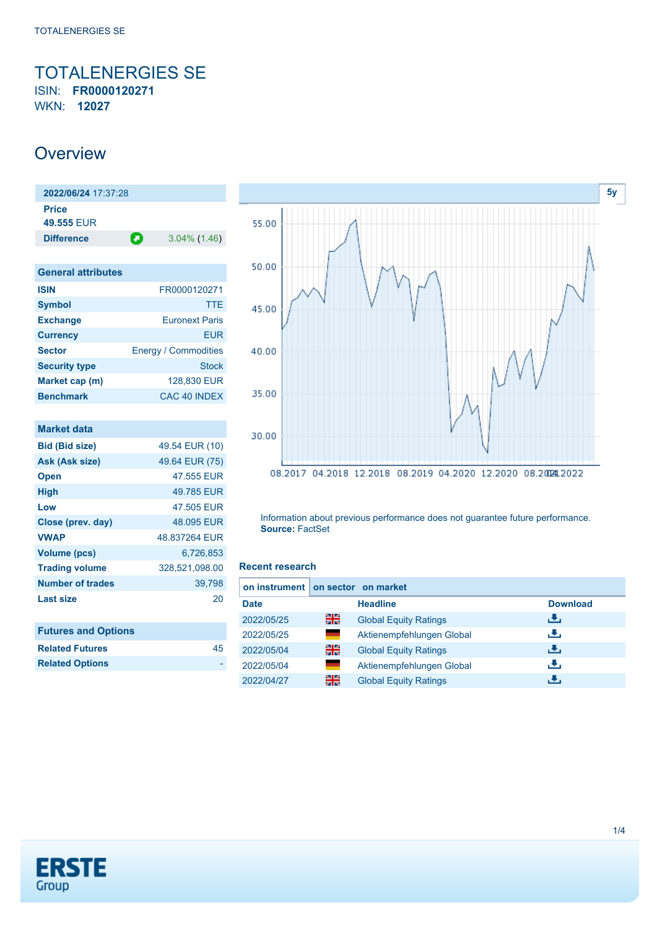<span id="page-0-0"></span>TOTALENERGIES SE ISIN: **FR0000120271** WKN: **12027**

# **Overview**

**2022/06/24** 17:37:28 **Price 49.555** EUR **Difference 3.04% (1.46)** 

| <b>General attributes</b> |                             |
|---------------------------|-----------------------------|
| <b>ISIN</b>               | FR0000120271                |
| <b>Symbol</b>             | TTE                         |
| <b>Exchange</b>           | <b>Euronext Paris</b>       |
| <b>Currency</b>           | FUR                         |
| <b>Sector</b>             | <b>Energy / Commodities</b> |
| <b>Security type</b>      | <b>Stock</b>                |
| Market cap (m)            | 128,830 EUR                 |
| <b>Benchmark</b>          | CAC 40 INDEX                |

| <b>Market data</b>         |                |
|----------------------------|----------------|
| <b>Bid (Bid size)</b>      | 49.54 EUR (10) |
| Ask (Ask size)             | 49.64 EUR (75) |
| <b>Open</b>                | 47.555 EUR     |
| <b>High</b>                | 49.785 EUR     |
| Low                        | 47.505 EUR     |
| Close (prev. day)          | 48.095 EUR     |
| <b>VWAP</b>                | 48.837264 EUR  |
| <b>Volume (pcs)</b>        | 6,726,853      |
| <b>Trading volume</b>      | 328,521,098.00 |
| Number of trades           | 39,798         |
| <b>Last size</b>           | 20             |
|                            |                |
| <b>Futures and Options</b> |                |
| <b>Related Futures</b>     | 45             |
| <b>Related Options</b>     |                |



Information about previous performance does not guarantee future performance. **Source:** FactSet

#### **Recent research**

| on instrument on sector on market |       |                              |                 |
|-----------------------------------|-------|------------------------------|-----------------|
| <b>Date</b>                       |       | <b>Headline</b>              | <b>Download</b> |
| 2022/05/25                        | 읡     | <b>Global Equity Ratings</b> | رنان            |
| 2022/05/25                        | ٠     | Aktienempfehlungen Global    | J.              |
| 2022/05/04                        | 을중    | <b>Global Equity Ratings</b> | æ,              |
| 2022/05/04                        | and a | Aktienempfehlungen Global    | æ,              |
| 2022/04/27                        | 읡     | <b>Global Equity Ratings</b> | æ,              |

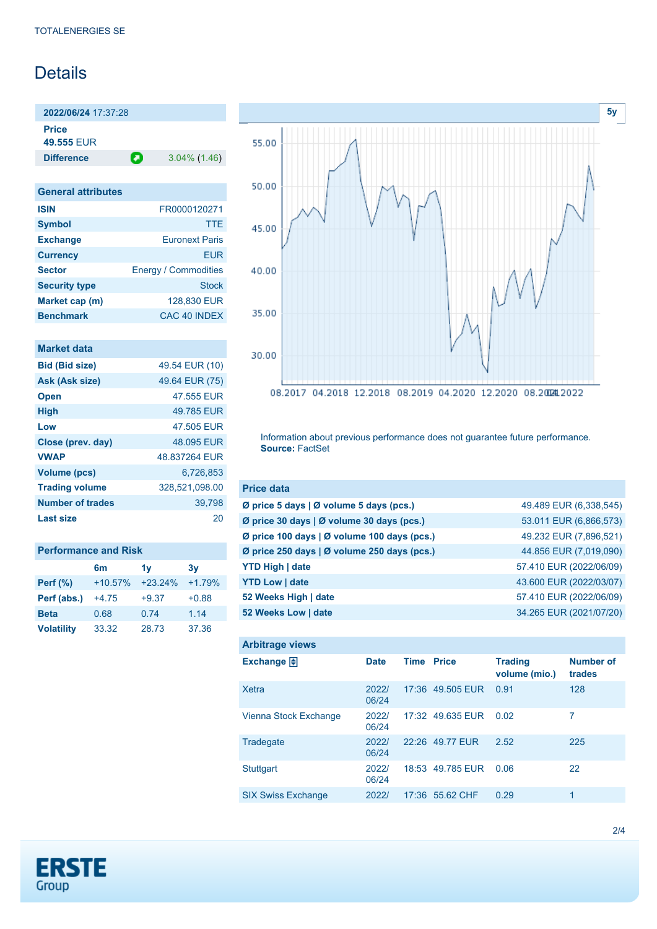# Details

**2022/06/24** 17:37:28 **Price 49.555** EUR

**Difference a** 3.04% (1.46)

| <b>General attributes</b> |                             |
|---------------------------|-----------------------------|
| <b>ISIN</b>               | FR0000120271                |
| <b>Symbol</b>             | <b>TTE</b>                  |
| <b>Exchange</b>           | <b>Furonext Paris</b>       |
| <b>Currency</b>           | FUR                         |
| <b>Sector</b>             | <b>Energy / Commodities</b> |
| <b>Security type</b>      | Stock                       |
| Market cap (m)            | 128,830 EUR                 |
| <b>Benchmark</b>          | CAC 40 INDEX                |

### **Market data**

| <b>Bid (Bid size)</b>   | 49.54 EUR (10) |
|-------------------------|----------------|
| Ask (Ask size)          | 49.64 EUR (75) |
| <b>Open</b>             | 47.555 FUR     |
| <b>High</b>             | 49.785 EUR     |
| Low                     | 47.505 EUR     |
| Close (prev. day)       | 48.095 EUR     |
| <b>VWAP</b>             | 48.837264 EUR  |
| Volume (pcs)            | 6.726.853      |
| <b>Trading volume</b>   | 328,521,098.00 |
| <b>Number of trades</b> | 39,798         |
| Last size               | 20             |

| <b>Performance and Risk</b> |                |           |          |  |  |
|-----------------------------|----------------|-----------|----------|--|--|
|                             | 6 <sub>m</sub> | 1v        | 3v       |  |  |
| <b>Perf (%)</b>             | $+10.57%$      | $+23.24%$ | $+1.79%$ |  |  |
| Perf (abs.)                 | $+4.75$        | $+9.37$   | $+0.88$  |  |  |
| <b>Beta</b>                 | 0.68           | 0.74      | 1.14     |  |  |
| <b>Volatility</b>           | 33.32          | 28.73     | 37.36    |  |  |



Information about previous performance does not guarantee future performance. **Source:** FactSet

| <b>Price data</b>                                         |                         |
|-----------------------------------------------------------|-------------------------|
| $\emptyset$ price 5 days $\emptyset$ volume 5 days (pcs.) | 49.489 EUR (6,338,545)  |
| Ø price 30 days   Ø volume 30 days (pcs.)                 | 53.011 EUR (6,866,573)  |
| Ø price 100 days   Ø volume 100 days (pcs.)               | 49.232 EUR (7,896,521)  |
| Ø price 250 days   Ø volume 250 days (pcs.)               | 44.856 EUR (7,019,090)  |
| <b>YTD High   date</b>                                    | 57.410 EUR (2022/06/09) |
| <b>YTD Low   date</b>                                     | 43.600 EUR (2022/03/07) |
| 52 Weeks High   date                                      | 57.410 EUR (2022/06/09) |
| 52 Weeks Low   date                                       | 34.265 EUR (2021/07/20) |

| <b>Arbitrage views</b>    |                |             |                  |                                 |                            |
|---------------------------|----------------|-------------|------------------|---------------------------------|----------------------------|
| Exchange $\Box$           | <b>Date</b>    | <b>Time</b> | <b>Price</b>     | <b>Trading</b><br>volume (mio.) | <b>Number of</b><br>trades |
| <b>Xetra</b>              | 2022/<br>06/24 |             | 17:36 49.505 EUR | 0.91                            | 128                        |
| Vienna Stock Exchange     | 2022/<br>06/24 |             | 17:32 49.635 EUR | 0.02                            | 7                          |
| Tradegate                 | 2022/<br>06/24 |             | 22:26 49.77 FUR  | 2.52                            | 225                        |
| <b>Stuttgart</b>          | 2022/<br>06/24 |             | 18:53 49.785 EUR | 0.06                            | 22                         |
| <b>SIX Swiss Exchange</b> | 2022/          |             | 17:36 55.62 CHF  | 0.29                            | 1                          |

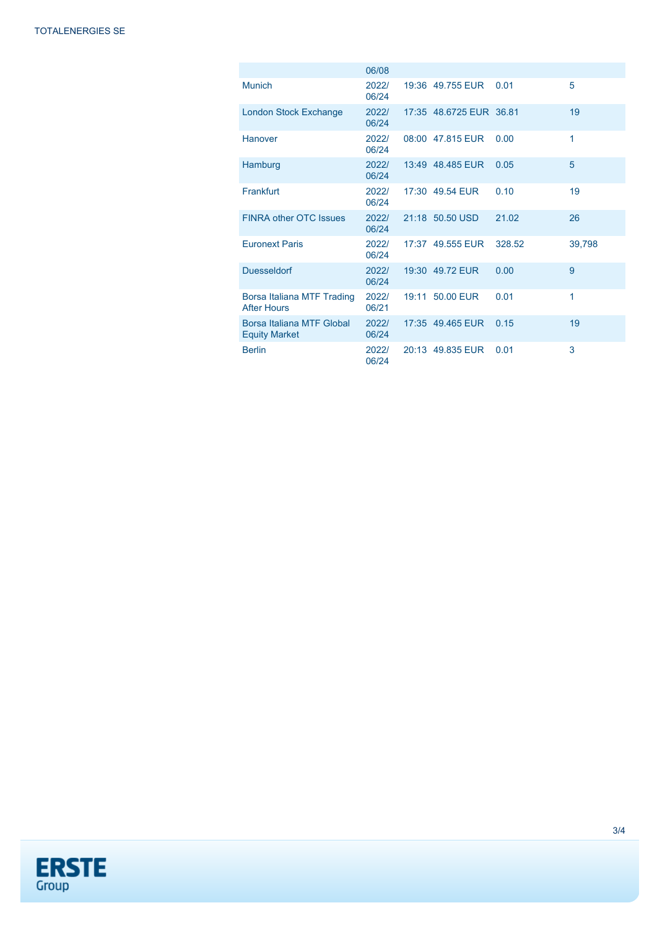|                                                   | 06/08          |       |                         |        |        |
|---------------------------------------------------|----------------|-------|-------------------------|--------|--------|
| <b>Munich</b>                                     | 2022/<br>06/24 |       | 19:36 49.755 EUR        | 0.01   | 5      |
| <b>London Stock Exchange</b>                      | 2022/<br>06/24 |       | 17:35 48.6725 EUR 36.81 |        | 19     |
| Hanover                                           | 2022/<br>06/24 |       | 08:00 47.815 EUR        | 0.00   | 1      |
| Hamburg                                           | 2022/<br>06/24 |       | 13:49 48.485 EUR        | 0.05   | 5      |
| Frankfurt                                         | 2022/<br>06/24 |       | 17:30 49.54 EUR         | 0.10   | 19     |
| <b>FINRA other OTC Issues</b>                     | 2022/<br>06/24 |       | 21:18 50.50 USD         | 21.02  | 26     |
| <b>Euronext Paris</b>                             | 2022/<br>06/24 |       | 17:37 49.555 EUR        | 328.52 | 39.798 |
| <b>Duesseldorf</b>                                | 2022/<br>06/24 |       | 19:30 49.72 EUR         | 0.00   | 9      |
| Borsa Italiana MTF Trading<br><b>After Hours</b>  | 2022/<br>06/21 | 19:11 | 50.00 EUR               | 0.01   | 1      |
| Borsa Italiana MTF Global<br><b>Equity Market</b> | 2022/<br>06/24 |       | 17:35 49.465 EUR        | 0.15   | 19     |
| <b>Berlin</b>                                     | 2022/<br>06/24 |       | 20:13 49.835 EUR        | 0.01   | 3      |